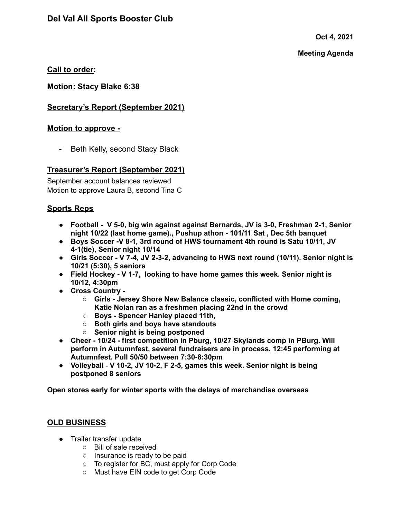**Oct 4, 2021**

### **Meeting Agenda**

# **Call to order:**

**Motion: Stacy Blake 6:38**

# **Secretary's Report (September 2021)**

## **Motion to approve -**

**-** Beth Kelly, second Stacy Black

# **Treasurer's Report (September 2021)**

September account balances reviewed Motion to approve Laura B, second Tina C

# **Sports Reps**

- **● Football - V 5-0, big win against against Bernards, JV is 3-0, Freshman 2-1, Senior night 10/22 (last home game)., Pushup athon - 101/11 Sat , Dec 5th banquet**
- **● Boys Soccer -V 8-1, 3rd round of HWS tournament 4th round is Satu 10/11, JV 4-1(tie), Senior night 10/14**
- **● Girls Soccer - V 7-4, JV 2-3-2, advancing to HWS next round (10/11). Senior night is 10/21 (5:30), 5 seniors**
- **● Field Hockey - V 1-7, looking to have home games this week. Senior night is 10/12, 4:30pm**
- **● Cross Country -**
	- **○ Girls - Jersey Shore New Balance classic, conflicted with Home coming, Katie Nolan ran as a freshmen placing 22nd in the crowd**
	- **○ Boys - Spencer Hanley placed 11th,**
	- **○ Both girls and boys have standouts**
	- **○ Senior night is being postponed**
- **● Cheer - 10/24 - first competition in Pburg, 10/27 Skylands comp in PBurg. Will perform in Autumnfest, several fundraisers are in process. 12:45 performing at Autumnfest. Pull 50/50 between 7:30-8:30pm**
- **Volleyball - V 10-2, JV 10-2, F 2-5, games this week. Senior night is being postponed 8 seniors**

**Open stores early for winter sports with the delays of merchandise overseas**

## **OLD BUSINESS**

- Trailer transfer update
	- Bill of sale received
	- Insurance is ready to be paid
	- To register for BC, must apply for Corp Code
	- Must have EIN code to get Corp Code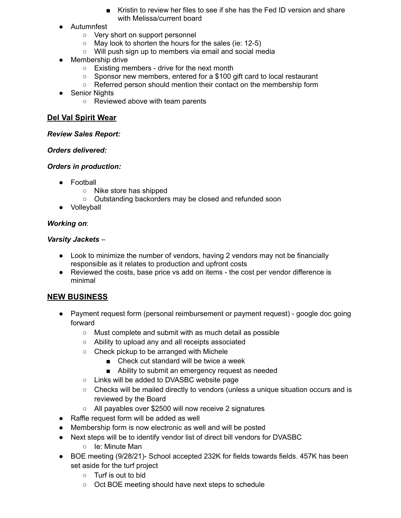- Kristin to review her files to see if she has the Fed ID version and share with Melissa/current board
- Autumnfest
	- Very short on support personnel
	- May look to shorten the hours for the sales (ie: 12-5)
	- Will push sign up to members via email and social media
- Membership drive
	- Existing members drive for the next month
	- Sponsor new members, entered for a \$100 gift card to local restaurant
	- Referred person should mention their contact on the membership form
- Senior Nights
	- Reviewed above with team parents

## **Del Val Spirit Wear**

### *Review Sales Report:*

### *Orders delivered:*

## *Orders in production:*

- Football
	- Nike store has shipped
	- Outstanding backorders may be closed and refunded soon
- Volleyball

## *Working on*:

## *Varsity Jackets* –

- Look to minimize the number of vendors, having 2 vendors may not be financially responsible as it relates to production and upfront costs
- Reviewed the costs, base price vs add on items the cost per vendor difference is minimal

# **NEW BUSINESS**

- Payment request form (personal reimbursement or payment request) google doc going forward
	- Must complete and submit with as much detail as possible
	- Ability to upload any and all receipts associated
	- Check pickup to be arranged with Michele
		- Check cut standard will be twice a week
		- Ability to submit an emergency request as needed
	- Links will be added to DVASBC website page
	- $\circ$  Checks will be mailed directly to vendors (unless a unique situation occurs and is reviewed by the Board
	- All payables over \$2500 will now receive 2 signatures
- Raffle request form will be added as well
- Membership form is now electronic as well and will be posted
- Next steps will be to identify vendor list of direct bill vendors for DVASBC
	- Ie: Minute Man
- BOE meeting (9/28/21)- School accepted 232K for fields towards fields. 457K has been set aside for the turf project
	- Turf is out to bid
	- Oct BOE meeting should have next steps to schedule